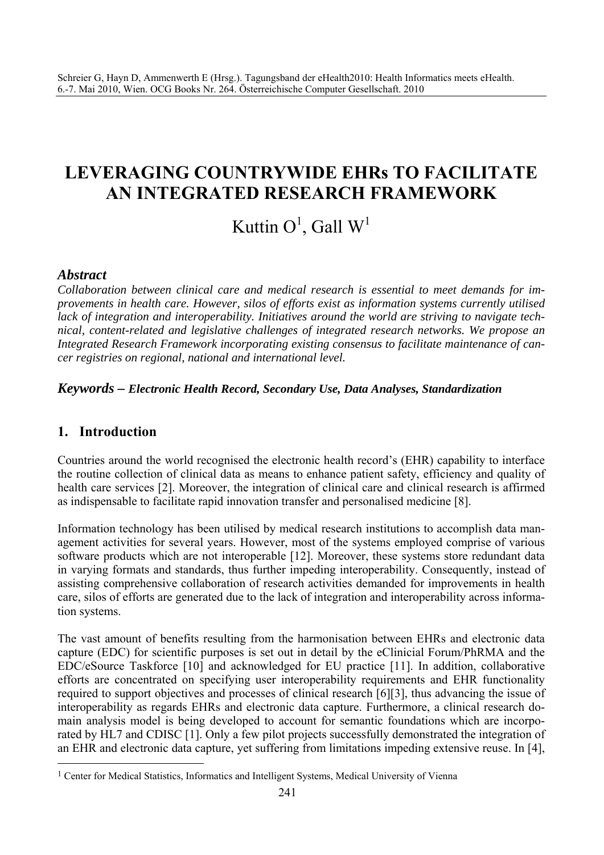## **LEVERAGING COUNTRYWIDE EHRs TO FACILITATE AN INTEGRATED RESEARCH FRAMEWORK**

# Kuttin  $O^1$ , Gall  $W^1$

## *Abstract*

*Collaboration between clinical care and medical research is essential to meet demands for improvements in health care. However, silos of efforts exist as information systems currently utilised lack of integration and interoperability. Initiatives around the world are striving to navigate technical, content-related and legislative challenges of integrated research networks. We propose an Integrated Research Framework incorporating existing consensus to facilitate maintenance of cancer registries on regional, national and international level.* 

#### *Keywords – Electronic Health Record, Secondary Use, Data Analyses, Standardization*

## **1. Introduction**

 $\overline{a}$ 

Countries around the world recognised the electronic health record's (EHR) capability to interface the routine collection of clinical data as means to enhance patient safety, efficiency and quality of health care services [2]. Moreover, the integration of clinical care and clinical research is affirmed as indispensable to facilitate rapid innovation transfer and personalised medicine [8].

Information technology has been utilised by medical research institutions to accomplish data management activities for several years. However, most of the systems employed comprise of various software products which are not interoperable [12]. Moreover, these systems store redundant data in varying formats and standards, thus further impeding interoperability. Consequently, instead of assisting comprehensive collaboration of research activities demanded for improvements in health care, silos of efforts are generated due to the lack of integration and interoperability across information systems.

The vast amount of benefits resulting from the harmonisation between EHRs and electronic data capture (EDC) for scientific purposes is set out in detail by the eClinicial Forum/PhRMA and the EDC/eSource Taskforce [10] and acknowledged for EU practice [11]. In addition, collaborative efforts are concentrated on specifying user interoperability requirements and EHR functionality required to support objectives and processes of clinical research [6][3], thus advancing the issue of interoperability as regards EHRs and electronic data capture. Furthermore, a clinical research domain analysis model is being developed to account for semantic foundations which are incorporated by HL7 and CDISC [1]. Only a few pilot projects successfully demonstrated the integration of an EHR and electronic data capture, yet suffering from limitations impeding extensive reuse. In [4],

<sup>&</sup>lt;sup>1</sup> Center for Medical Statistics, Informatics and Intelligent Systems, Medical University of Vienna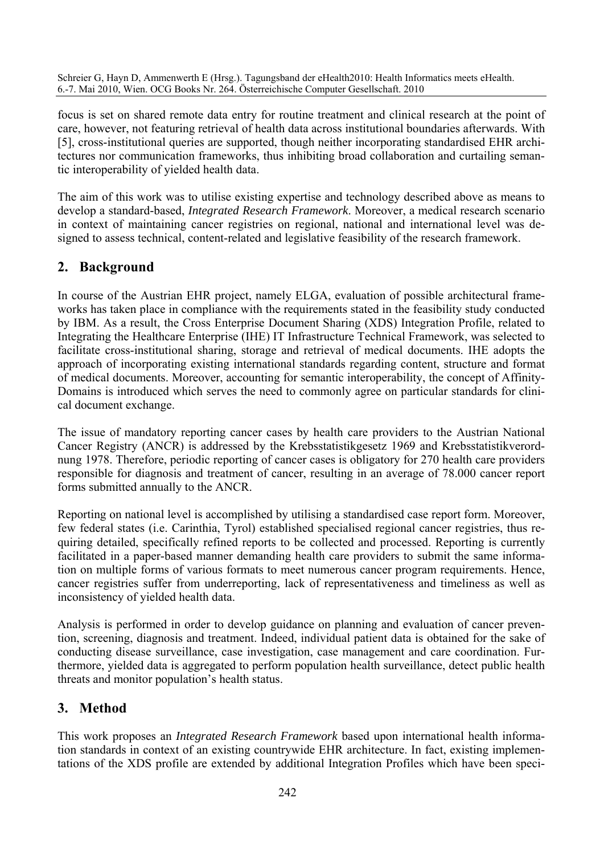focus is set on shared remote data entry for routine treatment and clinical research at the point of care, however, not featuring retrieval of health data across institutional boundaries afterwards. With [5], cross-institutional queries are supported, though neither incorporating standardised EHR architectures nor communication frameworks, thus inhibiting broad collaboration and curtailing semantic interoperability of yielded health data.

The aim of this work was to utilise existing expertise and technology described above as means to develop a standard-based, *Integrated Research Framework*. Moreover, a medical research scenario in context of maintaining cancer registries on regional, national and international level was designed to assess technical, content-related and legislative feasibility of the research framework.

## **2. Background**

In course of the Austrian EHR project, namely ELGA, evaluation of possible architectural frameworks has taken place in compliance with the requirements stated in the feasibility study conducted by IBM. As a result, the Cross Enterprise Document Sharing (XDS) Integration Profile, related to Integrating the Healthcare Enterprise (IHE) IT Infrastructure Technical Framework, was selected to facilitate cross-institutional sharing, storage and retrieval of medical documents. IHE adopts the approach of incorporating existing international standards regarding content, structure and format of medical documents. Moreover, accounting for semantic interoperability, the concept of Affinity-Domains is introduced which serves the need to commonly agree on particular standards for clinical document exchange.

The issue of mandatory reporting cancer cases by health care providers to the Austrian National Cancer Registry (ANCR) is addressed by the Krebsstatistikgesetz 1969 and Krebsstatistikverordnung 1978. Therefore, periodic reporting of cancer cases is obligatory for 270 health care providers responsible for diagnosis and treatment of cancer, resulting in an average of 78.000 cancer report forms submitted annually to the ANCR.

Reporting on national level is accomplished by utilising a standardised case report form. Moreover, few federal states (i.e. Carinthia, Tyrol) established specialised regional cancer registries, thus requiring detailed, specifically refined reports to be collected and processed. Reporting is currently facilitated in a paper-based manner demanding health care providers to submit the same information on multiple forms of various formats to meet numerous cancer program requirements. Hence, cancer registries suffer from underreporting, lack of representativeness and timeliness as well as inconsistency of yielded health data.

Analysis is performed in order to develop guidance on planning and evaluation of cancer prevention, screening, diagnosis and treatment. Indeed, individual patient data is obtained for the sake of conducting disease surveillance, case investigation, case management and care coordination. Furthermore, yielded data is aggregated to perform population health surveillance, detect public health threats and monitor population's health status.

## **3. Method**

This work proposes an *Integrated Research Framework* based upon international health information standards in context of an existing countrywide EHR architecture. In fact, existing implementations of the XDS profile are extended by additional Integration Profiles which have been speci-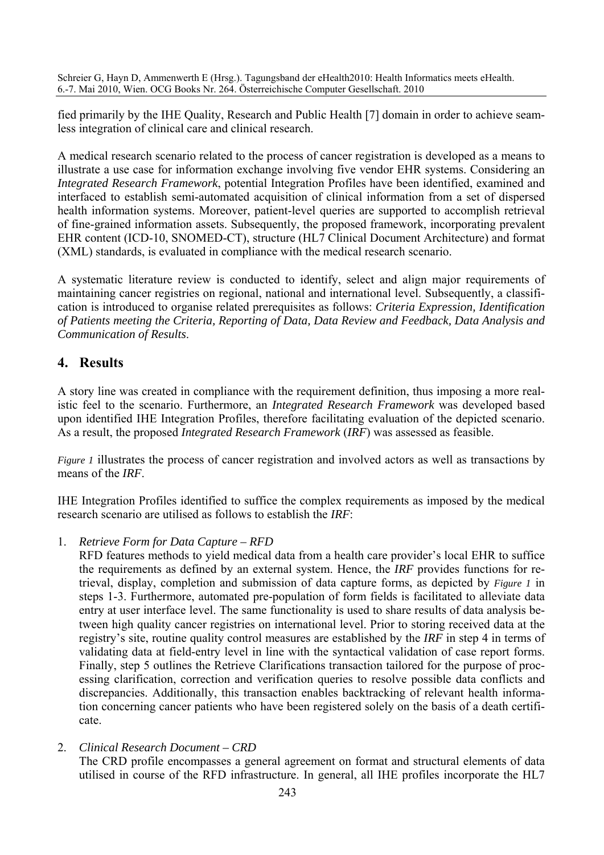fied primarily by the IHE Quality, Research and Public Health [7] domain in order to achieve seamless integration of clinical care and clinical research.

A medical research scenario related to the process of cancer registration is developed as a means to illustrate a use case for information exchange involving five vendor EHR systems. Considering an *Integrated Research Framework*, potential Integration Profiles have been identified, examined and interfaced to establish semi-automated acquisition of clinical information from a set of dispersed health information systems. Moreover, patient-level queries are supported to accomplish retrieval of fine-grained information assets. Subsequently, the proposed framework, incorporating prevalent EHR content (ICD-10, SNOMED-CT), structure (HL7 Clinical Document Architecture) and format (XML) standards, is evaluated in compliance with the medical research scenario.

A systematic literature review is conducted to identify, select and align major requirements of maintaining cancer registries on regional, national and international level. Subsequently, a classification is introduced to organise related prerequisites as follows: *Criteria Expression, Identification of Patients meeting the Criteria, Reporting of Data, Data Review and Feedback, Data Analysis and Communication of Results*.

## **4. Results**

A story line was created in compliance with the requirement definition, thus imposing a more realistic feel to the scenario. Furthermore, an *Integrated Research Framework* was developed based upon identified IHE Integration Profiles, therefore facilitating evaluation of the depicted scenario. As a result, the proposed *Integrated Research Framework* (*IRF*) was assessed as feasible.

*Figure 1* illustrates the process of cancer registration and involved actors as well as transactions by means of the *IRF*.

IHE Integration Profiles identified to suffice the complex requirements as imposed by the medical research scenario are utilised as follows to establish the *IRF*:

#### 1. *Retrieve Form for Data Capture – RFD*

RFD features methods to yield medical data from a health care provider's local EHR to suffice the requirements as defined by an external system. Hence, the *IRF* provides functions for retrieval, display, completion and submission of data capture forms, as depicted by *Figure 1* in steps 1-3. Furthermore, automated pre-population of form fields is facilitated to alleviate data entry at user interface level. The same functionality is used to share results of data analysis between high quality cancer registries on international level. Prior to storing received data at the registry's site, routine quality control measures are established by the *IRF* in step 4 in terms of validating data at field-entry level in line with the syntactical validation of case report forms. Finally, step 5 outlines the Retrieve Clarifications transaction tailored for the purpose of processing clarification, correction and verification queries to resolve possible data conflicts and discrepancies. Additionally, this transaction enables backtracking of relevant health information concerning cancer patients who have been registered solely on the basis of a death certificate.

2. *Clinical Research Document – CRD*  The CRD profile encompasses a general agreement on format and structural elements of data utilised in course of the RFD infrastructure. In general, all IHE profiles incorporate the HL7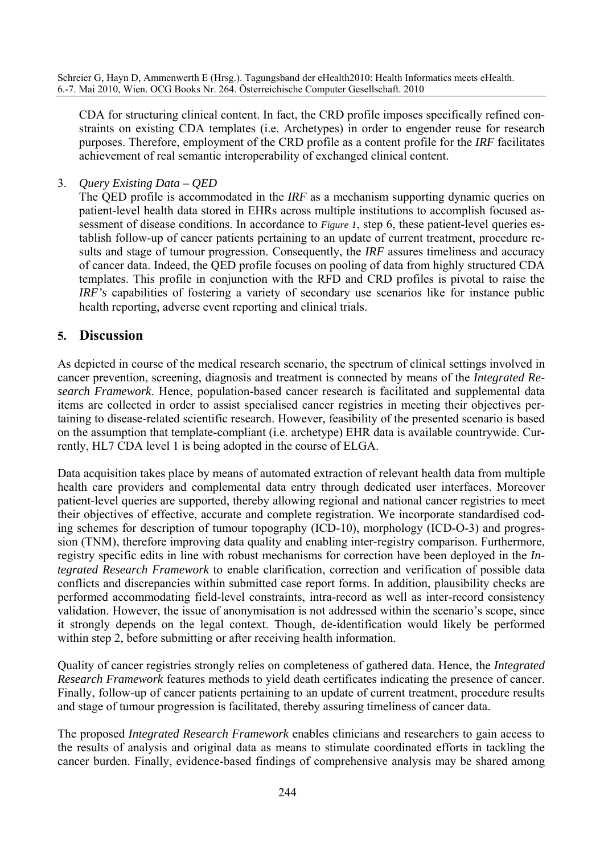CDA for structuring clinical content. In fact, the CRD profile imposes specifically refined constraints on existing CDA templates (i.e. Archetypes) in order to engender reuse for research purposes. Therefore, employment of the CRD profile as a content profile for the *IRF* facilitates achievement of real semantic interoperability of exchanged clinical content.

3. *Query Existing Data – QED* 

The QED profile is accommodated in the *IRF* as a mechanism supporting dynamic queries on patient-level health data stored in EHRs across multiple institutions to accomplish focused assessment of disease conditions. In accordance to *Figure 1*, step 6, these patient-level queries establish follow-up of cancer patients pertaining to an update of current treatment, procedure results and stage of tumour progression. Consequently, the *IRF* assures timeliness and accuracy of cancer data. Indeed, the QED profile focuses on pooling of data from highly structured CDA templates. This profile in conjunction with the RFD and CRD profiles is pivotal to raise the *IRF's* capabilities of fostering a variety of secondary use scenarios like for instance public health reporting, adverse event reporting and clinical trials.

#### **5. Discussion**

As depicted in course of the medical research scenario, the spectrum of clinical settings involved in cancer prevention, screening, diagnosis and treatment is connected by means of the *Integrated Research Framework*. Hence, population-based cancer research is facilitated and supplemental data items are collected in order to assist specialised cancer registries in meeting their objectives pertaining to disease-related scientific research. However, feasibility of the presented scenario is based on the assumption that template-compliant (i.e. archetype) EHR data is available countrywide. Currently, HL7 CDA level 1 is being adopted in the course of ELGA.

Data acquisition takes place by means of automated extraction of relevant health data from multiple health care providers and complemental data entry through dedicated user interfaces. Moreover patient-level queries are supported, thereby allowing regional and national cancer registries to meet their objectives of effective, accurate and complete registration. We incorporate standardised coding schemes for description of tumour topography (ICD-10), morphology (ICD-O-3) and progression (TNM), therefore improving data quality and enabling inter-registry comparison. Furthermore, registry specific edits in line with robust mechanisms for correction have been deployed in the *Integrated Research Framework* to enable clarification, correction and verification of possible data conflicts and discrepancies within submitted case report forms. In addition, plausibility checks are performed accommodating field-level constraints, intra-record as well as inter-record consistency validation. However, the issue of anonymisation is not addressed within the scenario's scope, since it strongly depends on the legal context. Though, de-identification would likely be performed within step 2, before submitting or after receiving health information.

Quality of cancer registries strongly relies on completeness of gathered data. Hence, the *Integrated Research Framework* features methods to yield death certificates indicating the presence of cancer. Finally, follow-up of cancer patients pertaining to an update of current treatment, procedure results and stage of tumour progression is facilitated, thereby assuring timeliness of cancer data.

The proposed *Integrated Research Framework* enables clinicians and researchers to gain access to the results of analysis and original data as means to stimulate coordinated efforts in tackling the cancer burden. Finally, evidence-based findings of comprehensive analysis may be shared among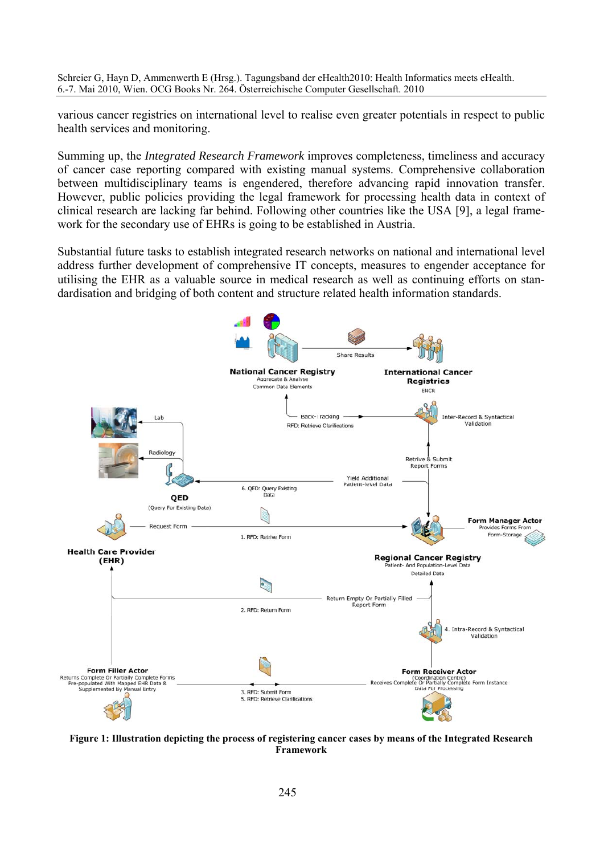various cancer registries on international level to realise even greater potentials in respect to public health services and monitoring.

Summing up, the *Integrated Research Framework* improves completeness, timeliness and accuracy of cancer case reporting compared with existing manual systems. Comprehensive collaboration between multidisciplinary teams is engendered, therefore advancing rapid innovation transfer. However, public policies providing the legal framework for processing health data in context of clinical research are lacking far behind. Following other countries like the USA [9], a legal framework for the secondary use of EHRs is going to be established in Austria.

Substantial future tasks to establish integrated research networks on national and international level address further development of comprehensive IT concepts, measures to engender acceptance for utilising the EHR as a valuable source in medical research as well as continuing efforts on standardisation and bridging of both content and structure related health information standards.



**Figure 1: Illustration depicting the process of registering cancer cases by means of the Integrated Research Framework**